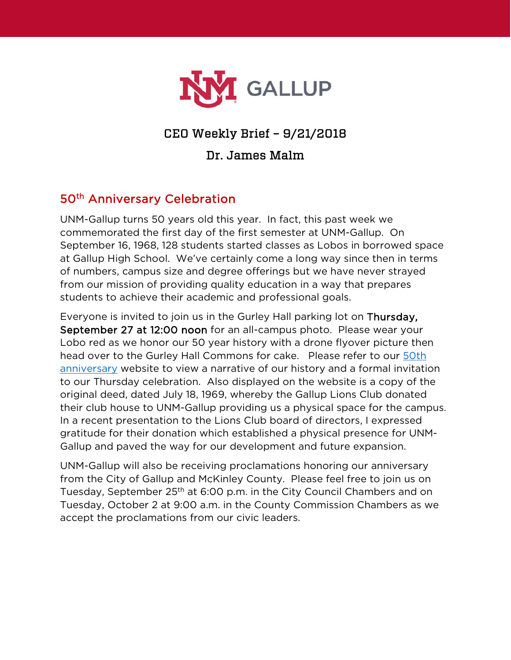

## CEO Weekly Brief – 9/21/2018

#### Dr. James Malm

## 50<sup>th</sup> Anniversary Celebration

UNM-Gallup turns 50 years old this year. In fact, this past week we commemorated the first day of the first semester at UNM-Gallup. On September 16, 1968, 128 students started classes as Lobos in borrowed space at Gallup High School. We've certainly come a long way since then in terms of numbers, campus size and degree offerings but we have never strayed from our mission of providing quality education in a way that prepares students to achieve their academic and professional goals.

Everyone is invited to join us in the Gurley Hall parking lot on Thursday, September 27 at 12:00 noon for an all-campus photo. Please wear your Lobo red as we honor our 50 year history with a drone flyover picture then head over to the Gurley Hall Commons for cake. Please refer to our [50th](https://www.gallup.unm.edu/50th/)  [anniversary](https://www.gallup.unm.edu/50th/) website to view a narrative of our history and a formal invitation to our Thursday celebration. Also displayed on the website is a copy of the original deed, dated July 18, 1969, whereby the Gallup Lions Club donated their club house to UNM-Gallup providing us a physical space for the campus. In a recent presentation to the Lions Club board of directors, I expressed gratitude for their donation which established a physical presence for UNM-Gallup and paved the way for our development and future expansion.

UNM-Gallup will also be receiving proclamations honoring our anniversary from the City of Gallup and McKinley County. Please feel free to join us on Tuesday, September 25<sup>th</sup> at 6:00 p.m. in the City Council Chambers and on Tuesday, October 2 at 9:00 a.m. in the County Commission Chambers as we accept the proclamations from our civic leaders.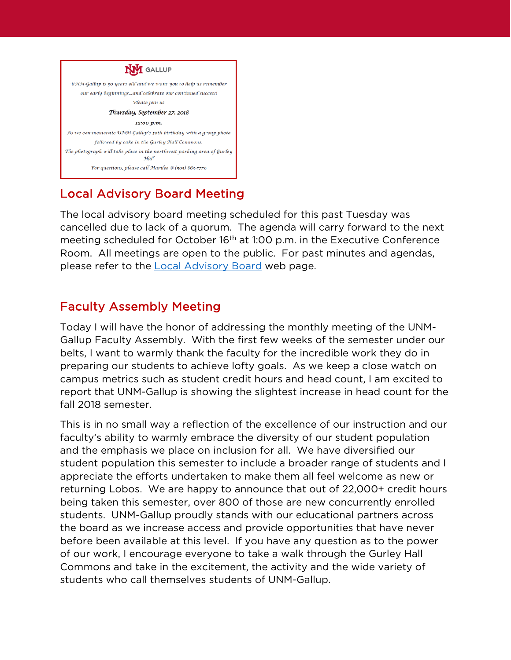

# Local Advisory Board Meeting

The local advisory board meeting scheduled for this past Tuesday was cancelled due to lack of a quorum. The agenda will carry forward to the next meeting scheduled for October 16<sup>th</sup> at 1:00 p.m. in the Executive Conference Room. All meetings are open to the public. For past minutes and agendas, please refer to the [Local Advisory Board](https://www.gallup.unm.edu/administration/localboard/) web page.

## Faculty Assembly Meeting

Today I will have the honor of addressing the monthly meeting of the UNM-Gallup Faculty Assembly. With the first few weeks of the semester under our belts, I want to warmly thank the faculty for the incredible work they do in preparing our students to achieve lofty goals. As we keep a close watch on campus metrics such as student credit hours and head count, I am excited to report that UNM-Gallup is showing the slightest increase in head count for the fall 2018 semester.

This is in no small way a reflection of the excellence of our instruction and our faculty's ability to warmly embrace the diversity of our student population and the emphasis we place on inclusion for all. We have diversified our student population this semester to include a broader range of students and I appreciate the efforts undertaken to make them all feel welcome as new or returning Lobos. We are happy to announce that out of 22,000+ credit hours being taken this semester, over 800 of those are new concurrently enrolled students. UNM-Gallup proudly stands with our educational partners across the board as we increase access and provide opportunities that have never before been available at this level. If you have any question as to the power of our work, I encourage everyone to take a walk through the Gurley Hall Commons and take in the excitement, the activity and the wide variety of students who call themselves students of UNM-Gallup.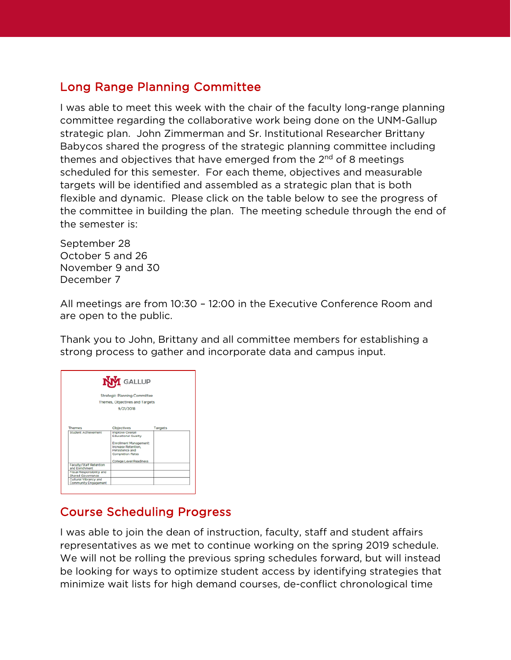## Long Range Planning Committee

I was able to meet this week with the chair of the faculty long-range planning committee regarding the collaborative work being done on the UNM-Gallup strategic plan. John Zimmerman and Sr. Institutional Researcher Brittany Babycos shared the progress of the strategic planning committee including themes and objectives that have emerged from the  $2<sup>nd</sup>$  of 8 meetings scheduled for this semester. For each theme, objectives and measurable targets will be identified and assembled as a strategic plan that is both flexible and dynamic. Please click on the table below to see the progress of the committee in building the plan. The meeting schedule through the end of the semester is:

September 28 October 5 and 26 November 9 and 30 December 7

All meetings are from 10:30 – 12:00 in the Executive Conference Room and are open to the public.

Thank you to John, Brittany and all committee members for establishing a strong process to gather and incorporate data and campus input.

|                                                       | <b>NVI</b> GALLUP                                                         |         |
|-------------------------------------------------------|---------------------------------------------------------------------------|---------|
|                                                       | <b>Strategic Planning Committee</b>                                       |         |
|                                                       | <b>Themes, Objectives and Targets</b>                                     |         |
|                                                       | 9/21/2018                                                                 |         |
|                                                       |                                                                           |         |
| <b>Themes</b><br><b>Student Achievement</b>           | <b>Objectives</b><br><b>Improve Overall</b><br><b>Educational Quality</b> | Targets |
|                                                       | <b>Enrollment Management:</b><br>Increase Retention.<br>Persistence and   |         |
|                                                       | <b>Completion Rates</b>                                                   |         |
|                                                       | College Level Readiness                                                   |         |
| Faculty/Staff Retention<br>and Enrichment             |                                                                           |         |
|                                                       |                                                                           |         |
| <b>Fiscal Responsibility and</b><br>Shared Governance |                                                                           |         |

## Course Scheduling Progress

I was able to join the dean of instruction, faculty, staff and student affairs representatives as we met to continue working on the spring 2019 schedule. We will not be rolling the previous spring schedules forward, but will instead be looking for ways to optimize student access by identifying strategies that minimize wait lists for high demand courses, de-conflict chronological time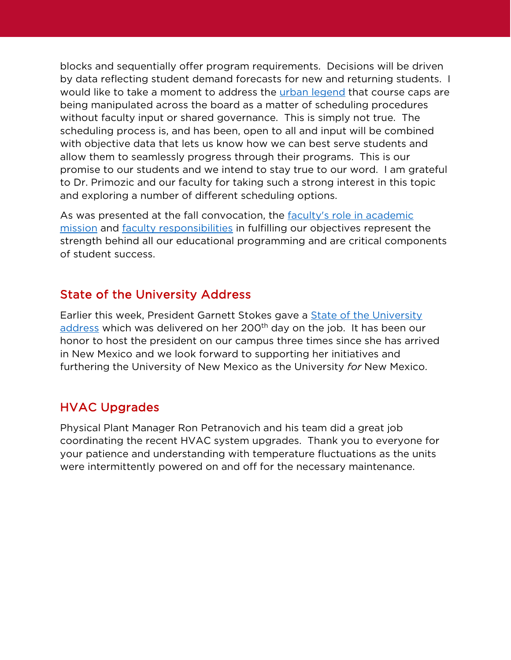blocks and sequentially offer program requirements. Decisions will be driven by data reflecting student demand forecasts for new and returning students. I would like to take a moment to address the [urban legend](https://en.wikipedia.org/wiki/Urban_legend) that course caps are being manipulated across the board as a matter of scheduling procedures without faculty input or shared governance. This is simply not true. The scheduling process is, and has been, open to all and input will be combined with objective data that lets us know how we can best serve students and allow them to seamlessly progress through their programs. This is our promise to our students and we intend to stay true to our word. I am grateful to Dr. Primozic and our faculty for taking such a strong interest in this topic and exploring a number of different scheduling options.

As was presented at the fall convocation, the faculty's role in academic [mission](http://handbook.unm.edu/policies/section-a/faculty/a50.html) and [faculty responsibilities](http://handbook.unm.edu/policies/section-a/faculty/a51.html) in fulfilling our objectives represent the strength behind all our educational programming and are critical components of student success.

## State of the University Address

Earlier this week, President Garnett Stokes gave a **State of the University** [address](https://www.facebook.com/universityofnewmexico/videos/1992637047442628/) which was delivered on her 200<sup>th</sup> day on the job. It has been our honor to host the president on our campus three times since she has arrived in New Mexico and we look forward to supporting her initiatives and furthering the University of New Mexico as the University *for* New Mexico.

## HVAC Upgrades

Physical Plant Manager Ron Petranovich and his team did a great job coordinating the recent HVAC system upgrades. Thank you to everyone for your patience and understanding with temperature fluctuations as the units were intermittently powered on and off for the necessary maintenance.